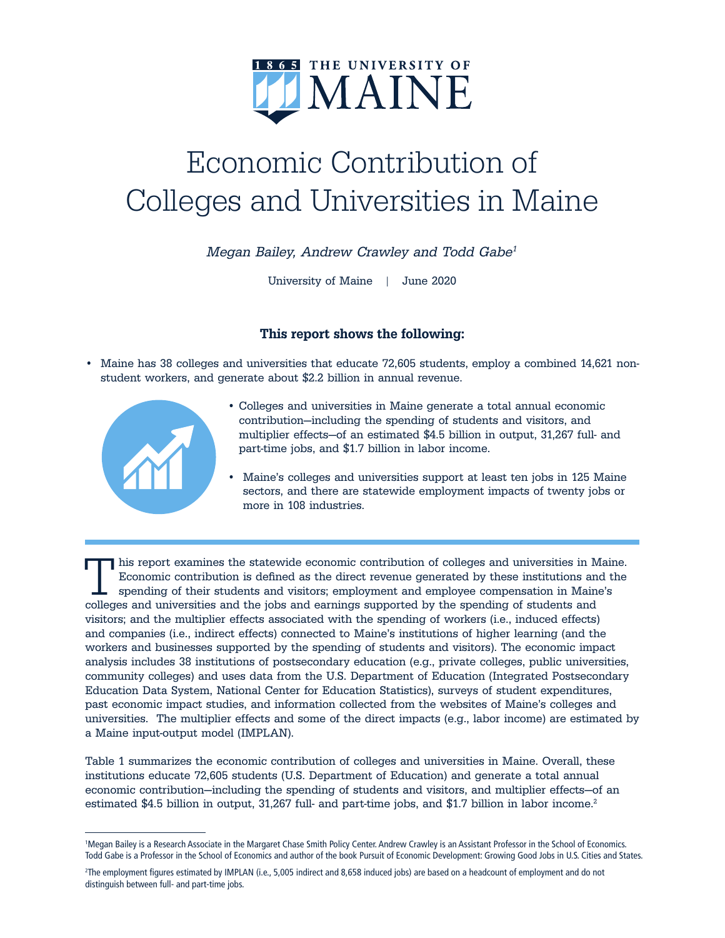

## Economic Contribution of Colleges and Universities in Maine

Megan Bailey, Andrew Crawley and Todd Gabe<sup>1</sup>

University of Maine | June 2020

## This report shows the following:

• Maine has 38 colleges and universities that educate 72,605 students, employ a combined 14,621 nonstudent workers, and generate about \$2.2 billion in annual revenue.



- Colleges and universities in Maine generate a total annual economic contribution—including the spending of students and visitors, and multiplier effects—of an estimated \$4.5 billion in output, 31,267 full- and part-time jobs, and \$1.7 billion in labor income.
- Maine's colleges and universities support at least ten jobs in 125 Maine sectors, and there are statewide employment impacts of twenty jobs or more in 108 industries.

This report examines the statewide economic contribution of colleges and universities in Maine. Economic contribution is defined as the direct revenue generated by these institutions and the spending of their students and visitors; employment and employee compensation in Maine's colleges and universities and the jobs and earnings supported by the spending of students and visitors; and the multiplier effects associated with the spending of workers (i.e., induced effects) and companies (i.e., indirect effects) connected to Maine's institutions of higher learning (and the workers and businesses supported by the spending of students and visitors). The economic impact analysis includes 38 institutions of postsecondary education (e.g., private colleges, public universities, community colleges) and uses data from the U.S. Department of Education (Integrated Postsecondary Education Data System, National Center for Education Statistics), surveys of student expenditures, past economic impact studies, and information collected from the websites of Maine's colleges and universities. The multiplier effects and some of the direct impacts (e.g., labor income) are estimated by a Maine input-output model (IMPLAN).

Table 1 summarizes the economic contribution of colleges and universities in Maine. Overall, these institutions educate 72,605 students (U.S. Department of Education) and generate a total annual economic contribution—including the spending of students and visitors, and multiplier effects—of an estimated \$4.5 billion in output, 31,267 full- and part-time jobs, and \$1.7 billion in labor income.<sup>2</sup>

<sup>1</sup> Megan Bailey is a Research Associate in the Margaret Chase Smith Policy Center. Andrew Crawley is an Assistant Professor in the School of Economics. Todd Gabe is a Professor in the School of Economics and author of the book Pursuit of Economic Development: Growing Good Jobs in U.S. Cities and States.

<sup>2</sup> The employment figures estimated by IMPLAN (i.e., 5,005 indirect and 8,658 induced jobs) are based on a headcount of employment and do not distinguish between full- and part-time jobs.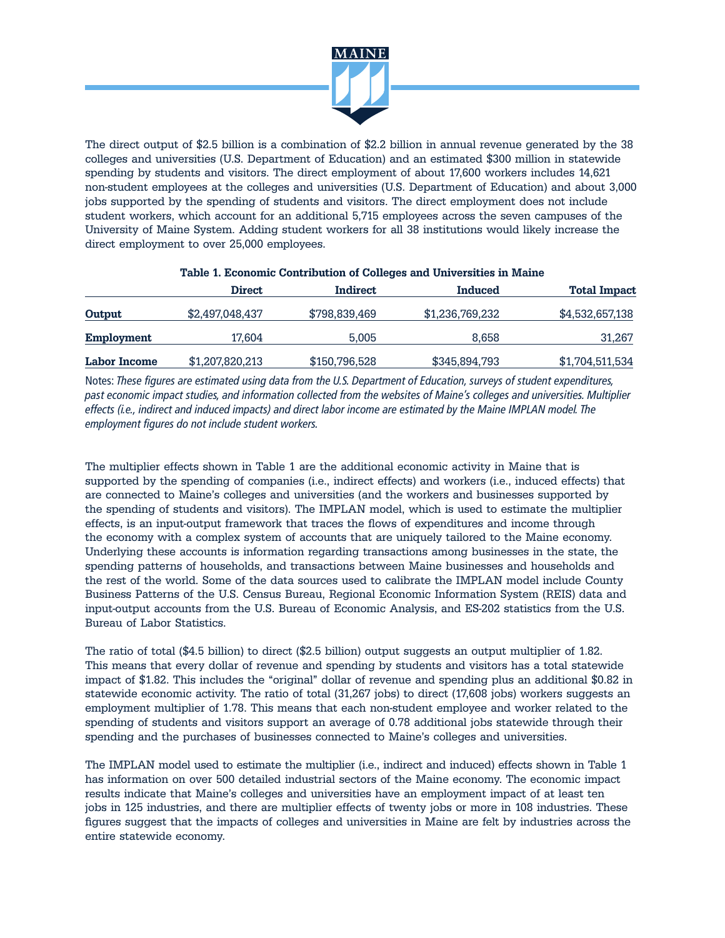

The direct output of \$2.5 billion is a combination of \$2.2 billion in annual revenue generated by the 38 colleges and universities (U.S. Department of Education) and an estimated \$300 million in statewide spending by students and visitors. The direct employment of about 17,600 workers includes 14,621 non-student employees at the colleges and universities (U.S. Department of Education) and about 3,000 jobs supported by the spending of students and visitors. The direct employment does not include student workers, which account for an additional 5,715 employees across the seven campuses of the University of Maine System. Adding student workers for all 38 institutions would likely increase the direct employment to over 25,000 employees.

|              | <b>Direct</b>   | Indirect      | Induced         | <b>Total Impact</b> |
|--------------|-----------------|---------------|-----------------|---------------------|
| Output       | \$2,497,048,437 | \$798,839,469 | \$1,236,769,232 | \$4,532,657,138     |
| Employment   | 17.604          | 5.005         | 8.658           | 31,267              |
| Labor Income | \$1,207,820,213 | \$150,796,528 | \$345,894,793   | \$1,704,511,534     |

## Table 1. Economic Contribution of Colleges and Universities in Maine

Notes: These figures are estimated using data from the U.S. Department of Education, surveys of student expenditures, past economic impact studies, and information collected from the websites of Maine's colleges and universities. Multiplier effects (i.e., indirect and induced impacts) and direct labor income are estimated by the Maine IMPLAN model. The employment figures do not include student workers.

The multiplier effects shown in Table 1 are the additional economic activity in Maine that is supported by the spending of companies (i.e., indirect effects) and workers (i.e., induced effects) that are connected to Maine's colleges and universities (and the workers and businesses supported by the spending of students and visitors). The IMPLAN model, which is used to estimate the multiplier effects, is an input-output framework that traces the flows of expenditures and income through the economy with a complex system of accounts that are uniquely tailored to the Maine economy. Underlying these accounts is information regarding transactions among businesses in the state, the spending patterns of households, and transactions between Maine businesses and households and the rest of the world. Some of the data sources used to calibrate the IMPLAN model include County Business Patterns of the U.S. Census Bureau, Regional Economic Information System (REIS) data and input-output accounts from the U.S. Bureau of Economic Analysis, and ES-202 statistics from the U.S. Bureau of Labor Statistics.

The ratio of total (\$4.5 billion) to direct (\$2.5 billion) output suggests an output multiplier of 1.82. This means that every dollar of revenue and spending by students and visitors has a total statewide impact of \$1.82. This includes the "original" dollar of revenue and spending plus an additional \$0.82 in statewide economic activity. The ratio of total (31,267 jobs) to direct (17,608 jobs) workers suggests an employment multiplier of 1.78. This means that each non-student employee and worker related to the spending of students and visitors support an average of 0.78 additional jobs statewide through their spending and the purchases of businesses connected to Maine's colleges and universities.

The IMPLAN model used to estimate the multiplier (i.e., indirect and induced) effects shown in Table 1 has information on over 500 detailed industrial sectors of the Maine economy. The economic impact results indicate that Maine's colleges and universities have an employment impact of at least ten jobs in 125 industries, and there are multiplier effects of twenty jobs or more in 108 industries. These figures suggest that the impacts of colleges and universities in Maine are felt by industries across the entire statewide economy.